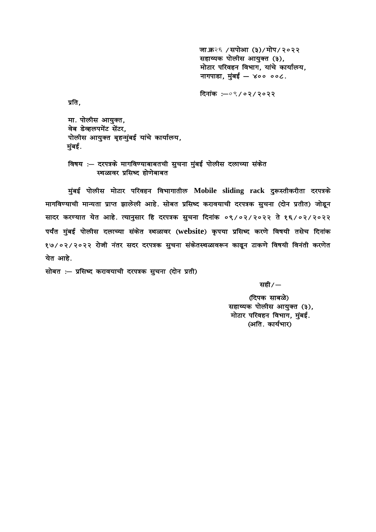जा.क्र२६ /सपोआ (३)/मोप/२०२२ सहाय्यक पोलीस आयुक्त (३), मोटार परिवहन विभाग, यांचे कार्यालय, नागपाडा, मुंबई  $-$  ४०० ००८.

दिनांक $: -0$ ९/०२/२०२२

प्रति.

मा. पोलीस आयुक्त, वेब डेव्हलपमेंट सेंटर, पोलीस आयुक्त बृहन्मुंबई यांचे कार्यालय, मुंबई.

विषय :— दरपत्रके मागविण्याबाबतची सुचना मुंबई पोलीस दलाच्या संकेत स्थळावर प्रसिध्द होणेबाबत

मुंबई पोलीस मोटार परिवहन विभागातील Mobile sliding rack दुरूस्तीकरीता दरपत्रके मागविण्याची मान्यता प्राप्त झालेली आहे. सोबत प्रसिध्द करावयाची दरपत्रक सुचना (दोन प्रतीत) जोडून सादर करण्यात येत आहे. त्यानुसार हि दरपत्रक सुचना दिनांक ०९/०२/२०२२ ते १६/०२/२०२२ पर्यंत मुंबई पोलीस दलाच्या संकेत स्थळावर (website) कृपया प्रसिध्द करणे विषयी तसेच दिनांक १७/०२/२०२२ रोजी नंतर सदर दरपत्रक सुचना संकेतस्थळावरून काढून टाकणे विषयी विनंती करणेत येत आहे.

सोबत :- प्रसिध्द करावयाची दरपत्रक सुचना (दोन प्रती)

 $\mathcal{H}$ ही /  $\mathcal{H}$  ) and  $\mathcal{H}$  , we have the set of  $\mathcal{H}$  ,  $\mathcal{H}$  ,  $\mathcal{H}$ 

(दिपक साबळे) सहाय्यक पोलीस आयुक्त (३), मोटार परिवहन विभाग, मुंबई. (अति. कार्यभार)